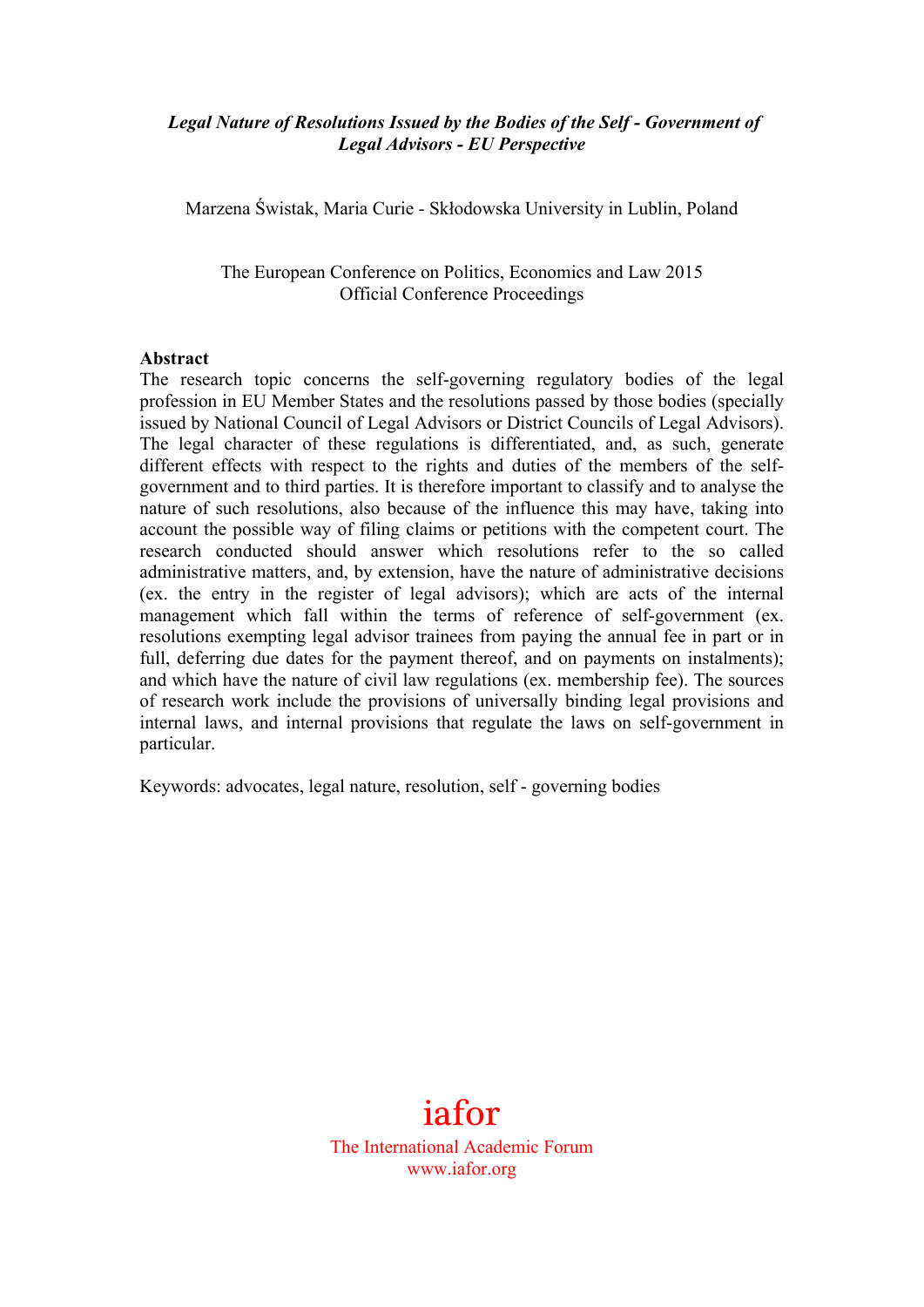## *Legal Nature of Resolutions Issued by the Bodies of the Self - Government of Legal Advisors - EU Perspective*

Marzena Świstak, Maria Curie - Skłodowska University in Lublin, Poland

The European Conference on Politics, Economics and Law 2015 Official Conference Proceedings

#### **Abstract**

The research topic concerns the self-governing regulatory bodies of the legal profession in EU Member States and the resolutions passed by those bodies (specially issued by National Council of Legal Advisors or District Councils of Legal Advisors). The legal character of these regulations is differentiated, and, as such, generate different effects with respect to the rights and duties of the members of the selfgovernment and to third parties. It is therefore important to classify and to analyse the nature of such resolutions, also because of the influence this may have, taking into account the possible way of filing claims or petitions with the competent court. The research conducted should answer which resolutions refer to the so called administrative matters, and, by extension, have the nature of administrative decisions (ex. the entry in the register of legal advisors); which are acts of the internal management which fall within the terms of reference of self-government (ex. resolutions exempting legal advisor trainees from paying the annual fee in part or in full, deferring due dates for the payment thereof, and on payments on instalments); and which have the nature of civil law regulations (ex. membership fee). The sources of research work include the provisions of universally binding legal provisions and internal laws, and internal provisions that regulate the laws on self-government in particular.

Keywords: advocates, legal nature, resolution, self - governing bodies

# iafor

The International Academic Forum www.iafor.org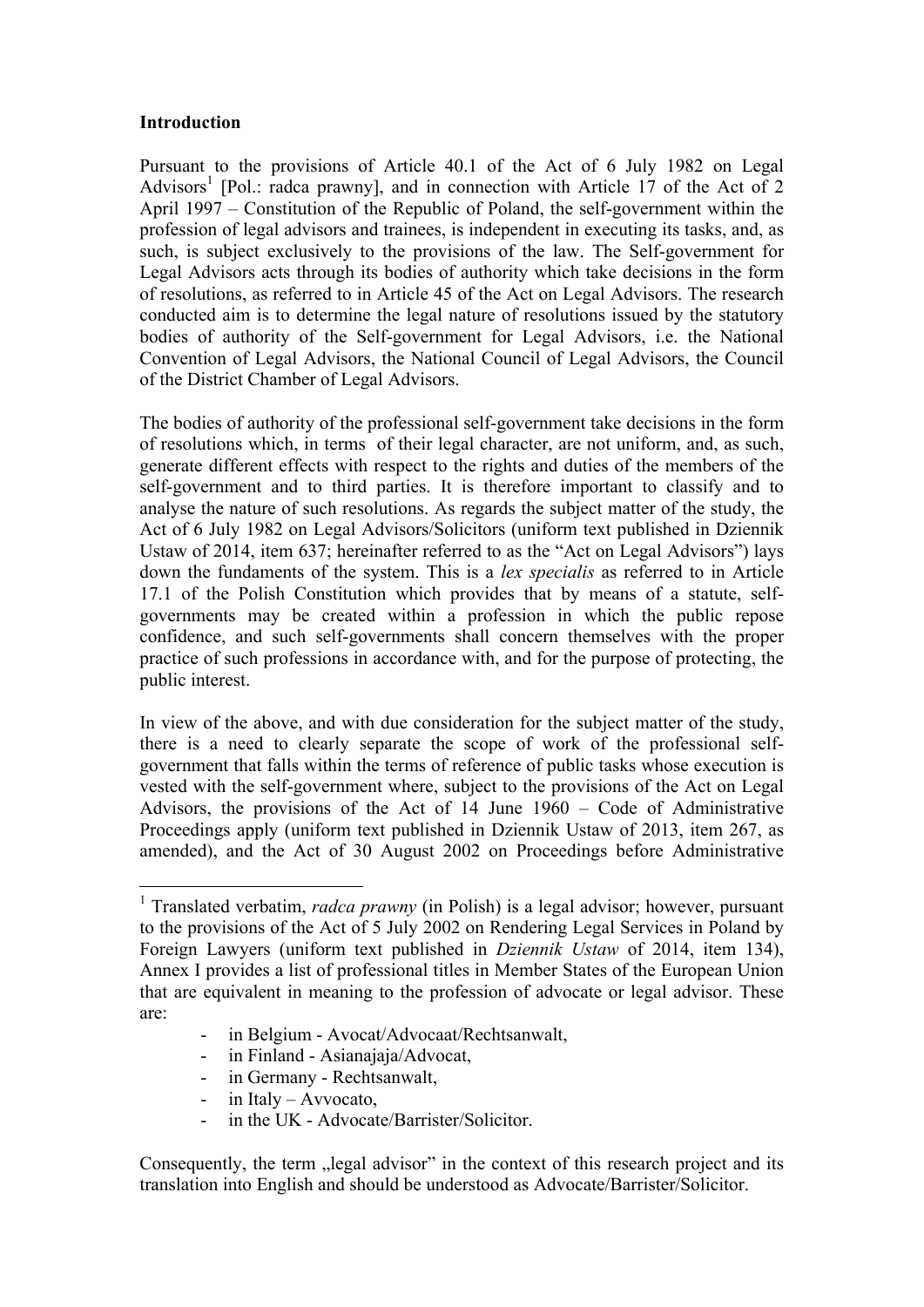#### **Introduction**

Pursuant to the provisions of Article 40.1 of the Act of 6 July 1982 on Legal Advisors<sup>1</sup> [Pol.: radca prawny], and in connection with Article 17 of the Act of 2 April 1997 – Constitution of the Republic of Poland, the self-government within the profession of legal advisors and trainees, is independent in executing its tasks, and, as such, is subject exclusively to the provisions of the law. The Self-government for Legal Advisors acts through its bodies of authority which take decisions in the form of resolutions, as referred to in Article 45 of the Act on Legal Advisors. The research conducted aim is to determine the legal nature of resolutions issued by the statutory bodies of authority of the Self-government for Legal Advisors, i.e. the National Convention of Legal Advisors, the National Council of Legal Advisors, the Council of the District Chamber of Legal Advisors.

The bodies of authority of the professional self-government take decisions in the form of resolutions which, in terms of their legal character, are not uniform, and, as such, generate different effects with respect to the rights and duties of the members of the self-government and to third parties. It is therefore important to classify and to analyse the nature of such resolutions. As regards the subject matter of the study, the Act of 6 July 1982 on Legal Advisors/Solicitors (uniform text published in Dziennik Ustaw of 2014, item 637; hereinafter referred to as the "Act on Legal Advisors") lays down the fundaments of the system. This is a *lex specialis* as referred to in Article 17.1 of the Polish Constitution which provides that by means of a statute, selfgovernments may be created within a profession in which the public repose confidence, and such self-governments shall concern themselves with the proper practice of such professions in accordance with, and for the purpose of protecting, the public interest.

In view of the above, and with due consideration for the subject matter of the study, there is a need to clearly separate the scope of work of the professional selfgovernment that falls within the terms of reference of public tasks whose execution is vested with the self-government where, subject to the provisions of the Act on Legal Advisors, the provisions of the Act of 14 June 1960 – Code of Administrative Proceedings apply (uniform text published in Dziennik Ustaw of 2013, item 267, as amended), and the Act of 30 August 2002 on Proceedings before Administrative

- in Belgium Avocat/Advocaat/Rechtsanwalt,
- in Finland Asianajaja/Advocat,
- in Germany Rechtsanwalt,
- in Italy Avvocato,
- in the UK Advocate/Barrister/Solicitor.

Consequently, the term "legal advisor" in the context of this research project and its translation into English and should be understood as Advocate/Barrister/Solicitor.

<sup>&</sup>lt;sup>1</sup> Translated verbatim, *radca prawny* (in Polish) is a legal advisor; however, pursuant to the provisions of the Act of 5 July 2002 on Rendering Legal Services in Poland by Foreign Lawyers (uniform text published in *Dziennik Ustaw* of 2014, item 134), Annex I provides a list of professional titles in Member States of the European Union that are equivalent in meaning to the profession of advocate or legal advisor. These are: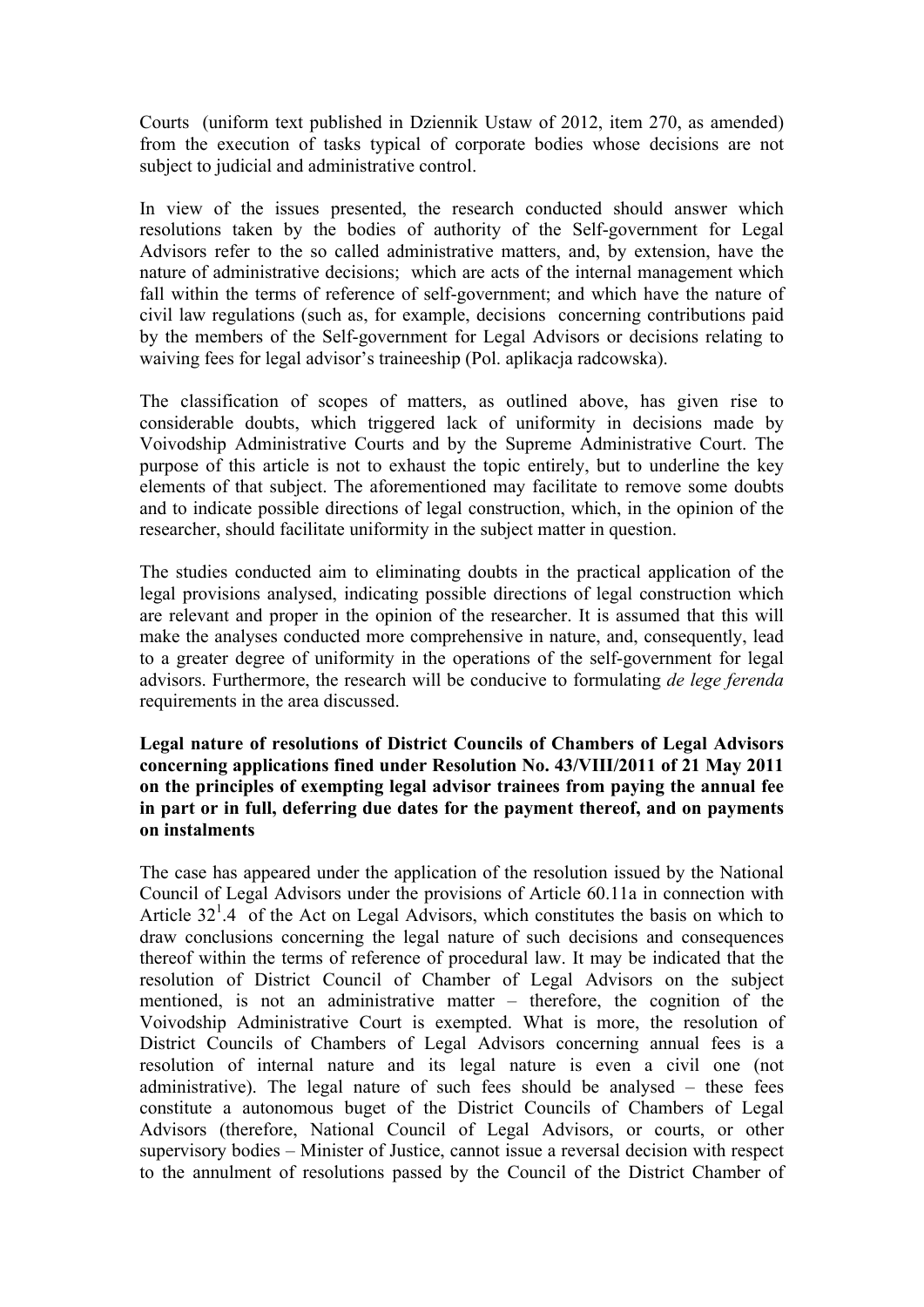Courts (uniform text published in Dziennik Ustaw of 2012, item 270, as amended) from the execution of tasks typical of corporate bodies whose decisions are not subject to judicial and administrative control.

In view of the issues presented, the research conducted should answer which resolutions taken by the bodies of authority of the Self-government for Legal Advisors refer to the so called administrative matters, and, by extension, have the nature of administrative decisions; which are acts of the internal management which fall within the terms of reference of self-government; and which have the nature of civil law regulations (such as, for example, decisions concerning contributions paid by the members of the Self-government for Legal Advisors or decisions relating to waiving fees for legal advisor's traineeship (Pol. aplikacja radcowska).

The classification of scopes of matters, as outlined above, has given rise to considerable doubts, which triggered lack of uniformity in decisions made by Voivodship Administrative Courts and by the Supreme Administrative Court. The purpose of this article is not to exhaust the topic entirely, but to underline the key elements of that subject. The aforementioned may facilitate to remove some doubts and to indicate possible directions of legal construction, which, in the opinion of the researcher, should facilitate uniformity in the subject matter in question.

The studies conducted aim to eliminating doubts in the practical application of the legal provisions analysed, indicating possible directions of legal construction which are relevant and proper in the opinion of the researcher. It is assumed that this will make the analyses conducted more comprehensive in nature, and, consequently, lead to a greater degree of uniformity in the operations of the self-government for legal advisors. Furthermore, the research will be conducive to formulating *de lege ferenda* requirements in the area discussed.

## **Legal nature of resolutions of District Councils of Chambers of Legal Advisors concerning applications fined under Resolution No. 43/VIII/2011 of 21 May 2011 on the principles of exempting legal advisor trainees from paying the annual fee in part or in full, deferring due dates for the payment thereof, and on payments on instalments**

The case has appeared under the application of the resolution issued by the National Council of Legal Advisors under the provisions of Article 60.11a in connection with Article  $32^1.4$  of the Act on Legal Advisors, which constitutes the basis on which to draw conclusions concerning the legal nature of such decisions and consequences thereof within the terms of reference of procedural law. It may be indicated that the resolution of District Council of Chamber of Legal Advisors on the subject mentioned, is not an administrative matter – therefore, the cognition of the Voivodship Administrative Court is exempted. What is more, the resolution of District Councils of Chambers of Legal Advisors concerning annual fees is a resolution of internal nature and its legal nature is even a civil one (not administrative). The legal nature of such fees should be analysed – these fees constitute a autonomous buget of the District Councils of Chambers of Legal Advisors (therefore, National Council of Legal Advisors, or courts, or other supervisory bodies – Minister of Justice, cannot issue a reversal decision with respect to the annulment of resolutions passed by the Council of the District Chamber of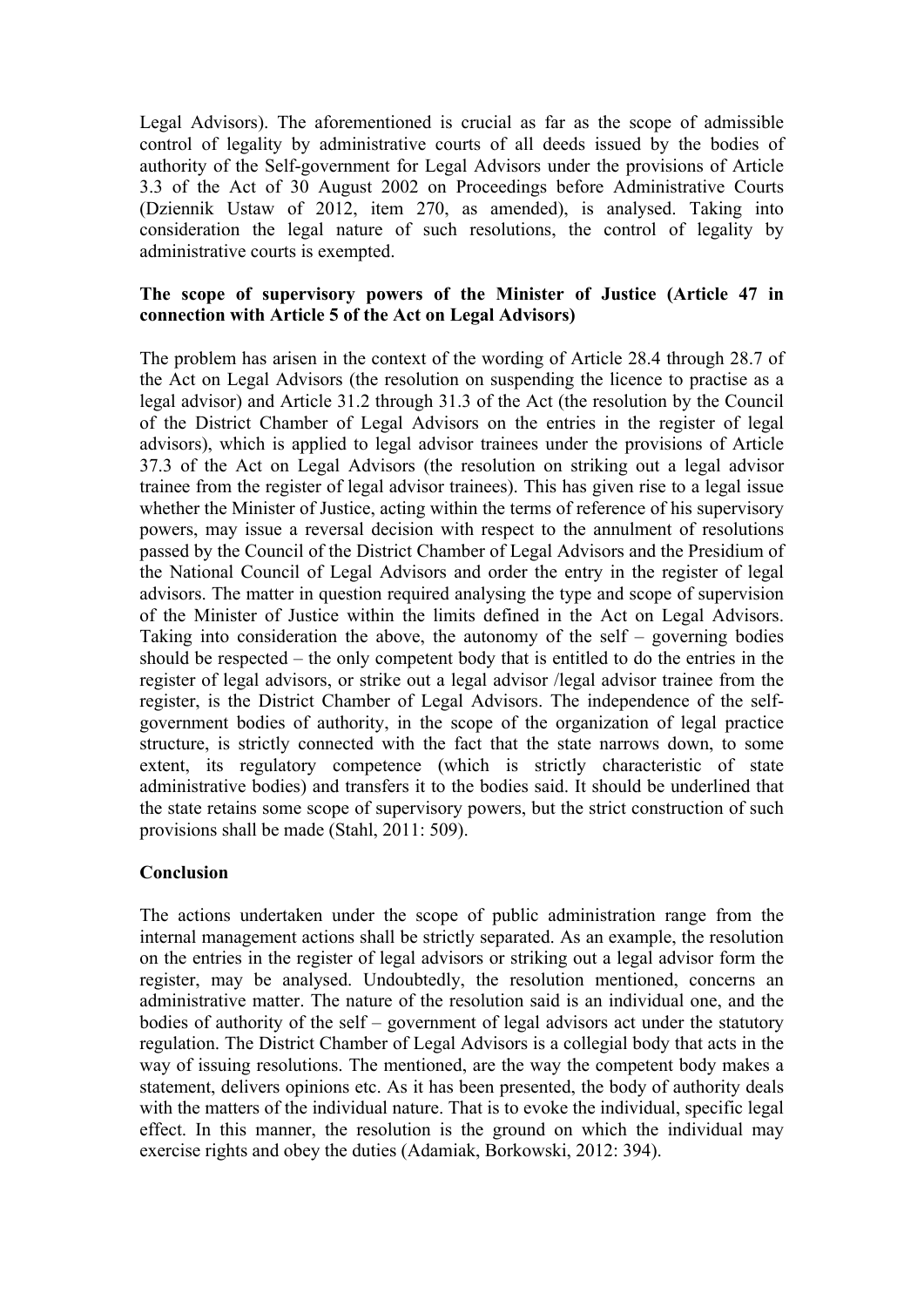Legal Advisors). The aforementioned is crucial as far as the scope of admissible control of legality by administrative courts of all deeds issued by the bodies of authority of the Self-government for Legal Advisors under the provisions of Article 3.3 of the Act of 30 August 2002 on Proceedings before Administrative Courts (Dziennik Ustaw of 2012, item 270, as amended), is analysed. Taking into consideration the legal nature of such resolutions, the control of legality by administrative courts is exempted.

### **The scope of supervisory powers of the Minister of Justice (Article 47 in connection with Article 5 of the Act on Legal Advisors)**

The problem has arisen in the context of the wording of Article 28.4 through 28.7 of the Act on Legal Advisors (the resolution on suspending the licence to practise as a legal advisor) and Article 31.2 through 31.3 of the Act (the resolution by the Council of the District Chamber of Legal Advisors on the entries in the register of legal advisors), which is applied to legal advisor trainees under the provisions of Article 37.3 of the Act on Legal Advisors (the resolution on striking out a legal advisor trainee from the register of legal advisor trainees). This has given rise to a legal issue whether the Minister of Justice, acting within the terms of reference of his supervisory powers, may issue a reversal decision with respect to the annulment of resolutions passed by the Council of the District Chamber of Legal Advisors and the Presidium of the National Council of Legal Advisors and order the entry in the register of legal advisors. The matter in question required analysing the type and scope of supervision of the Minister of Justice within the limits defined in the Act on Legal Advisors. Taking into consideration the above, the autonomy of the self – governing bodies should be respected – the only competent body that is entitled to do the entries in the register of legal advisors, or strike out a legal advisor /legal advisor trainee from the register, is the District Chamber of Legal Advisors. The independence of the selfgovernment bodies of authority, in the scope of the organization of legal practice structure, is strictly connected with the fact that the state narrows down, to some extent, its regulatory competence (which is strictly characteristic of state administrative bodies) and transfers it to the bodies said. It should be underlined that the state retains some scope of supervisory powers, but the strict construction of such provisions shall be made (Stahl, 2011: 509).

## **Conclusion**

The actions undertaken under the scope of public administration range from the internal management actions shall be strictly separated. As an example, the resolution on the entries in the register of legal advisors or striking out a legal advisor form the register, may be analysed. Undoubtedly, the resolution mentioned, concerns an administrative matter. The nature of the resolution said is an individual one, and the bodies of authority of the self – government of legal advisors act under the statutory regulation. The District Chamber of Legal Advisors is a collegial body that acts in the way of issuing resolutions. The mentioned, are the way the competent body makes a statement, delivers opinions etc. As it has been presented, the body of authority deals with the matters of the individual nature. That is to evoke the individual, specific legal effect. In this manner, the resolution is the ground on which the individual may exercise rights and obey the duties (Adamiak, Borkowski, 2012: 394).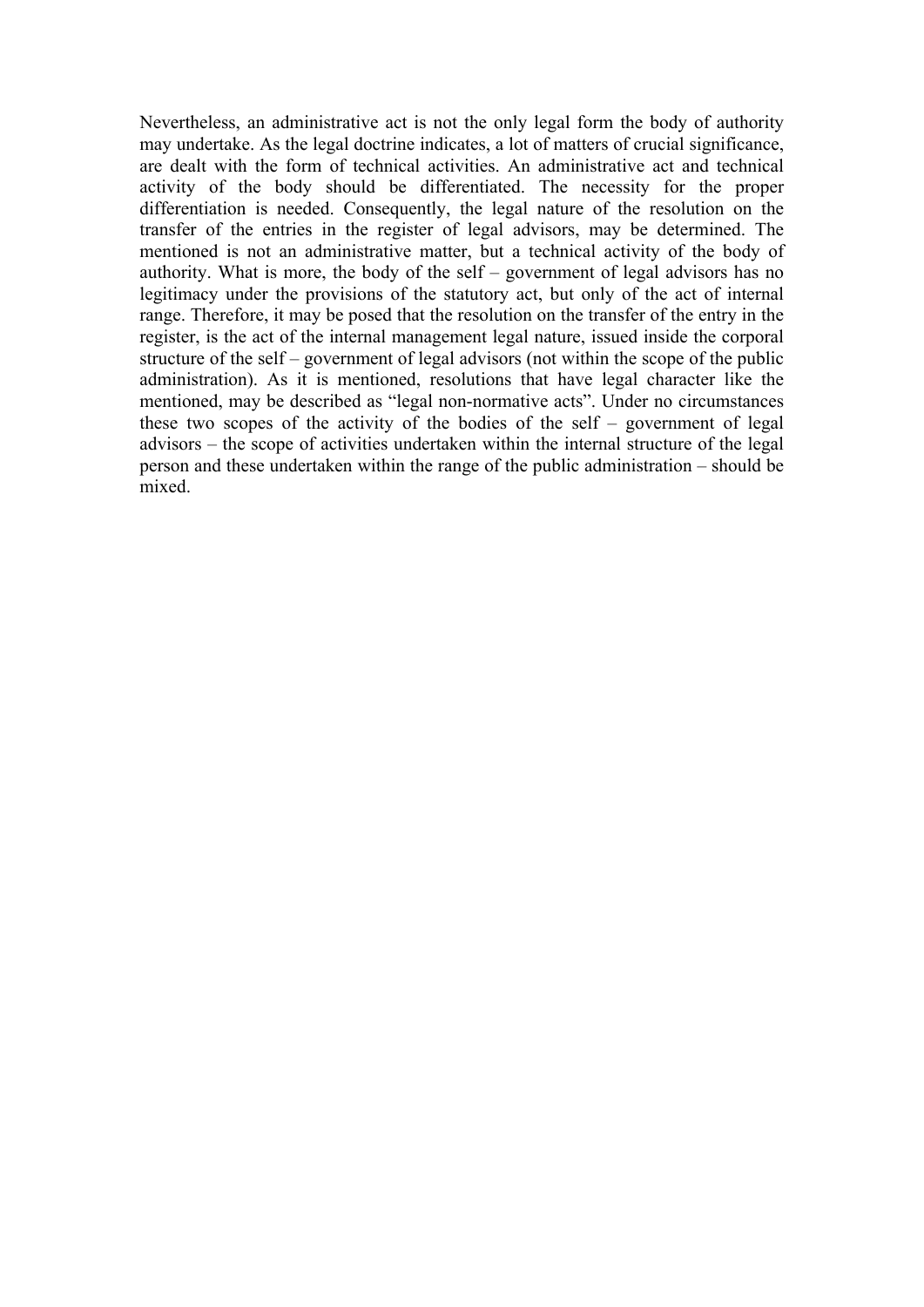Nevertheless, an administrative act is not the only legal form the body of authority may undertake. As the legal doctrine indicates, a lot of matters of crucial significance, are dealt with the form of technical activities. An administrative act and technical activity of the body should be differentiated. The necessity for the proper differentiation is needed. Consequently, the legal nature of the resolution on the transfer of the entries in the register of legal advisors, may be determined. The mentioned is not an administrative matter, but a technical activity of the body of authority. What is more, the body of the self – government of legal advisors has no legitimacy under the provisions of the statutory act, but only of the act of internal range. Therefore, it may be posed that the resolution on the transfer of the entry in the register, is the act of the internal management legal nature, issued inside the corporal structure of the self – government of legal advisors (not within the scope of the public administration). As it is mentioned, resolutions that have legal character like the mentioned, may be described as "legal non-normative acts". Under no circumstances these two scopes of the activity of the bodies of the self – government of legal advisors – the scope of activities undertaken within the internal structure of the legal person and these undertaken within the range of the public administration – should be mixed.